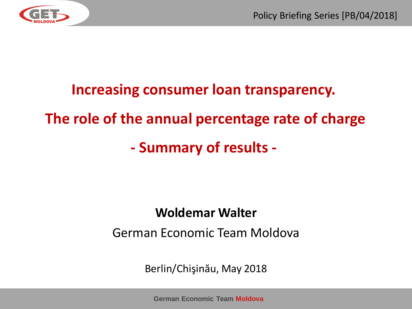

#### **Increasing consumer loan transparency.**

## **The role of the annual percentage rate of charge**

# **- Summary of results -**

#### **Woldemar Walter**

#### German Economic Team Moldova

Berlin/Chişinău, May 2018

**German Economic Team Moldova**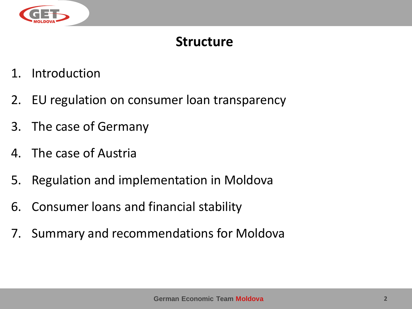

#### **Structure**

- 1. Introduction
- 2. EU regulation on consumer loan transparency
- 3. The case of Germany
- 4. The case of Austria
- 5. Regulation and implementation in Moldova
- 6. Consumer loans and financial stability
- 7. Summary and recommendations for Moldova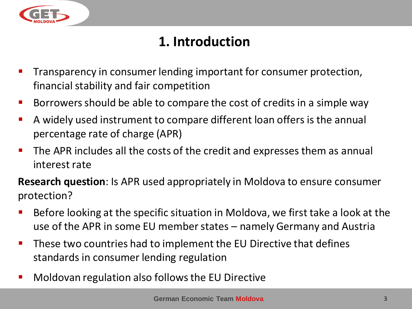

## **1. Introduction**

- Transparency in consumer lending important for consumer protection, financial stability and fair competition
- Borrowers should be able to compare the cost of credits in a simple way
- A widely used instrument to compare different loan offers is the annual percentage rate of charge (APR)
- The APR includes all the costs of the credit and expresses them as annual interest rate

**Research question**: Is APR used appropriately in Moldova to ensure consumer protection?

- Before looking at the specific situation in Moldova, we first take a look at the use of the APR in some EU member states – namely Germany and Austria
- These two countries had to implement the EU Directive that defines standards in consumer lending regulation
- Moldovan regulation also follows the EU Directive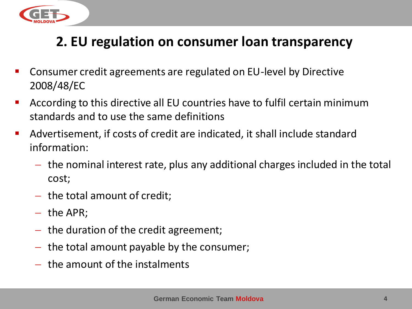

### **2. EU regulation on consumer loan transparency**

- Consumer credit agreements are regulated on EU-level by Directive 2008/48/EC
- According to this directive all EU countries have to fulfil certain minimum standards and to use the same definitions
- Advertisement, if costs of credit are indicated, it shall include standard information:
	- $-$  the nominal interest rate, plus any additional charges included in the total cost;
	- $-$  the total amount of credit;
	- $-$  the APR;
	- $-$  the duration of the credit agreement;
	- $-$  the total amount payable by the consumer;
	- $-$  the amount of the instalments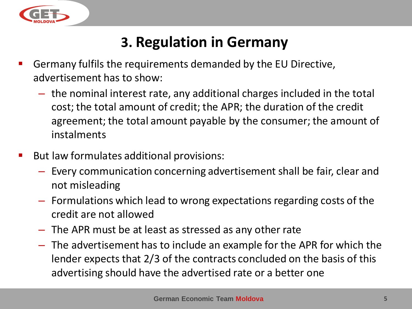

# **3. Regulation in Germany**

- Germany fulfils the requirements demanded by the EU Directive, advertisement has to show:
	- the nominal interest rate, any additional charges included in the total cost; the total amount of credit; the APR; the duration of the credit agreement; the total amount payable by the consumer; the amount of instalments
- But law formulates additional provisions:
	- Every communication concerning advertisement shall be fair, clear and not misleading
	- Formulations which lead to wrong expectations regarding costs of the credit are not allowed
	- The APR must be at least as stressed as any other rate
	- The advertisement has to include an example for the APR for which the lender expects that 2/3 of the contracts concluded on the basis of this advertising should have the advertised rate or a better one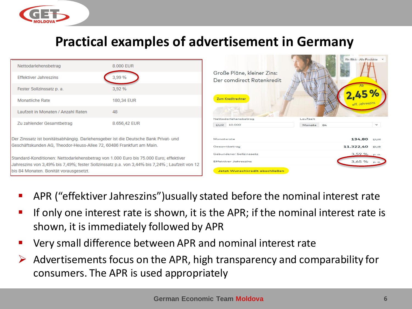

#### **Practical examples of advertisement in Germany**

| Nettodarlehensbetrag<br><b>Effektiver Jahreszins</b>                                                                                                                                                                             | 8.000 EUR<br>3,99 % | Große Pläne, kleiner Zins:<br>Der comdirect Ratenkredit |                       | Ein Blick - Alle Produkte v  |              |
|----------------------------------------------------------------------------------------------------------------------------------------------------------------------------------------------------------------------------------|---------------------|---------------------------------------------------------|-----------------------|------------------------------|--------------|
| Fester Sollzinssatz p. a.                                                                                                                                                                                                        | 3,92%               |                                                         |                       |                              |              |
| <b>Monatliche Rate</b>                                                                                                                                                                                                           | 180,34 EUR          | Zum Kreditrechner                                       |                       | eff. Jahreszins              |              |
| Laufzeit in Monaten / Anzahl Raten                                                                                                                                                                                               | 48                  |                                                         |                       |                              |              |
| Zu zahlender Gesamtbetrag                                                                                                                                                                                                        | 8.656,42 EUR        | Nettodarlehensbetrag<br><b>EUR</b> 10.000               | Laufzeit<br>Monate 84 |                              | $\checkmark$ |
| Der Zinssatz ist bonitätsabhängig. Darlehensgeber ist die Deutsche Bank Privat- und<br>Geschäftskunden AG, Theodor-Heuss-Allee 72, 60486 Frankfurt am Main.                                                                      |                     | Monatsrate<br>Gesamtbetrag                              |                       | 134,80 EUR<br>11.322,40 EUR  |              |
| Standard-Konditionen: Nettodarlehensbetrag von 1.000 Euro bis 75.000 Euro; effektiver<br>Jahreszins von 3,49% bis 7,49%; fester Sollzinssatz p.a. von 3,44% bis 7,24%; Laufzeit von 12<br>bis 84 Monaten. Bonität vorausgesetzt. |                     | Gebundener Sollzinssatz<br>Effektiver Jahreszins        |                       | $3,59%$ p.a.<br>$3,65%$ p.a. |              |
|                                                                                                                                                                                                                                  |                     | Jetzt Wunschkredit abschließen                          |                       |                              |              |

- APR ("effektiver Jahreszins")usually stated before the nominal interest rate
- If only one interest rate is shown, it is the APR; if the nominal interest rate is shown, it is immediately followed by APR
- Very small difference between APR and nominal interest rate
- Advertisements focus on the APR, high transparency and comparability for consumers. The APR is used appropriately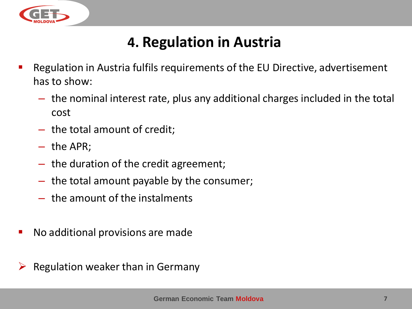

# **4. Regulation in Austria**

- Regulation in Austria fulfils requirements of the EU Directive, advertisement has to show:
	- the nominal interest rate, plus any additional charges included in the total cost
	- the total amount of credit;
	- the APR;
	- the duration of the credit agreement;
	- the total amount payable by the consumer;
	- the amount of the instalments
- No additional provisions are made
- Regulation weaker than in Germany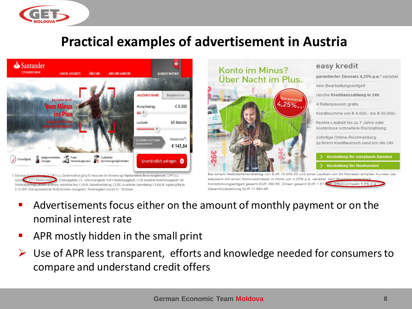

#### **Practical examples of advertisement in Austria**





iem Nettodarlehensbetrag von EUR 10.000,00 und einer Laufzeit von 84 Monaten erhalten Kunden der easybank AG einen Nominalzinssatz in Höhe von 4,25% p.a. variabel, kein Kontoführungsentgelt gesamt EUR 390,60, Zinsen gesamt EUR 1.574,98. Effektivzinssatz 5,5% p Gesamtrückzahlung EUR 11.964,86

- Advertisements focus either on the amount of monthly payment or on the nominal interest rate
- APR mostly hidden in the small print
- $\triangleright$  Use of APR less transparent, efforts and knowledge needed for consumers to compare and understand credit offers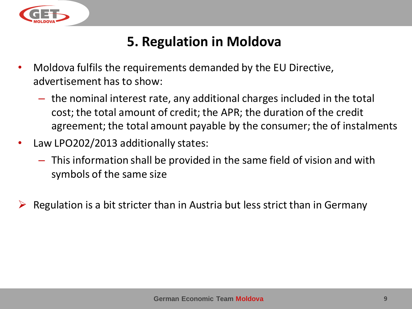

### **5. Regulation in Moldova**

- Moldova fulfils the requirements demanded by the EU Directive, advertisement has to show:
	- the nominal interest rate, any additional charges included in the total cost; the total amount of credit; the APR; the duration of the credit agreement; the total amount payable by the consumer; the of instalments
- Law LPO202/2013 additionally states:
	- This information shall be provided in the same field of vision and with symbols of the same size
- Regulation is a bit stricter than in Austria but less strict than in Germany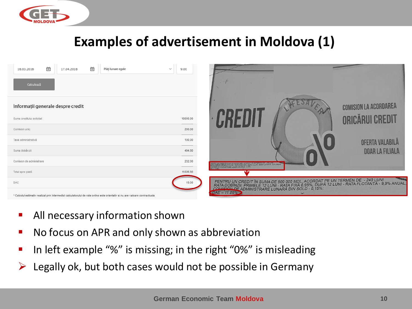

#### **Examples of advertisement in Moldova (1)**

| Ë<br>崮<br>18.03.2018<br>Plăți lunare egale<br>17.04.2018<br>Calculează                                                      | 9.00<br>$\checkmark$ |                                                                                                                                                                                                                                  |                              |
|-----------------------------------------------------------------------------------------------------------------------------|----------------------|----------------------------------------------------------------------------------------------------------------------------------------------------------------------------------------------------------------------------------|------------------------------|
| Informații generale despre credit<br>Suma creditului solicitat                                                              | 10000.00             |                                                                                                                                                                                                                                  | <b>COMISION LA ACORDAREA</b> |
| Comision unic                                                                                                               | 200.00               |                                                                                                                                                                                                                                  |                              |
| Taxa administrativă                                                                                                         | 100.00               |                                                                                                                                                                                                                                  | OFERTA VALABILA              |
| Suma dobânzii                                                                                                               | 494.80               |                                                                                                                                                                                                                                  | <b>DOAR LA FILIALA</b>       |
| Comision de administrare                                                                                                    | 232.00               | IU UN GREDIT ÎN SUMA DE 500 000 MOL ACORDAT PE UN TERMENTE - 1999 ANIJAL -<br>GENEZU PRIMELE 12 LUA - RATA FIXA 6.95%, DUPA 12 LUNI - RATA FLOTANTĂ - 9,9% ANIJAL -<br>AN DE ADMINISTRARE LUNARA DIN SOLD - 8,15%.               |                              |
| Total spre plată                                                                                                            | 11026.80             |                                                                                                                                                                                                                                  |                              |
| DAE                                                                                                                         | 19.00                | PENTRU UN CREDIT ÎN SUMA DE 500 000 MDL, ACORDAT PE UN TERMEN DE - 240 LUNI<br>RATA DOBÎNZII: PRIMELE 12 LUNI - RATA FIXA 6,95%, DUPĂ 12 LUNI - RATA FLOTANTĂ - 9,9% ANUAL,<br>COMISION DE ADMINISTRARE LUNARĂ DIN SOLD - 0,15%; |                              |
| * Calculul estimativ realizat prin intermediul calculatorului de rate online este orientativ si nu are valoare contractuala |                      | $DAE - 11.86%$                                                                                                                                                                                                                   |                              |

- **All necessary information shown**
- **No focus on APR and only shown as abbreviation**
- In left example "%" is missing; in the right "0%" is misleading
- $\triangleright$  Legally ok, but both cases would not be possible in Germany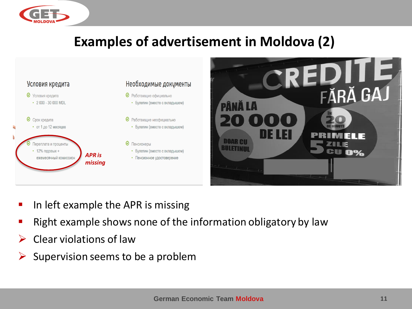

### **Examples of advertisement in Moldova (2)**



- **IF In left example the APR is missing**
- Right example shows none of the information obligatory by law
- $\triangleright$  Clear violations of law
- $\triangleright$  Supervision seems to be a problem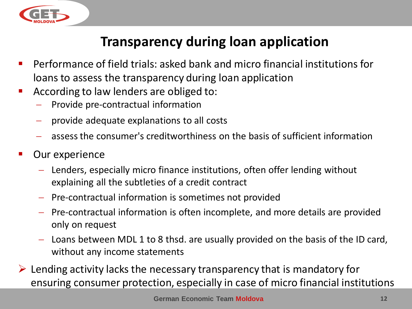

## **Transparency during loan application**

- Performance of field trials: asked bank and micro financial institutions for loans to assess the transparency during loan application
- According to law lenders are obliged to:
	- Provide pre-contractual information
	- provide adequate explanations to all costs
	- assess the consumer's creditworthiness on the basis of sufficient information
- Our experience
	- Lenders, especially micro finance institutions, often offer lending without explaining all the subtleties of a credit contract
	- Pre-contractual information is sometimes not provided
	- Pre-contractual information is often incomplete, and more details are provided only on request
	- Loans between MDL 1 to 8 thsd. are usually provided on the basis of the ID card, without any income statements
- $\triangleright$  Lending activity lacks the necessary transparency that is mandatory for ensuring consumer protection, especially in case of micro financial institutions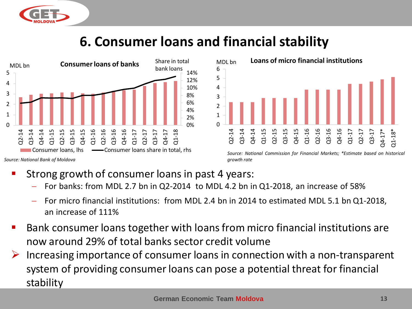

## **6. Consumer loans and financial stability**





- Strong growth of consumer loans in past 4 years:
	- For banks: from MDL 2.7 bn in Q2-2014 to MDL 4.2 bn in Q1-2018, an increase of 58%
	- For micro financial institutions: from MDL 2.4 bn in 2014 to estimated MDL 5.1 bn Q1-2018, an increase of 111%
- Bank consumer loans together with loans from micro financial institutions are now around 29% of total banks sector credit volume
- Increasing importance of consumer loans in connection with a non-transparent system of providing consumer loans can pose a potential threat for financial stability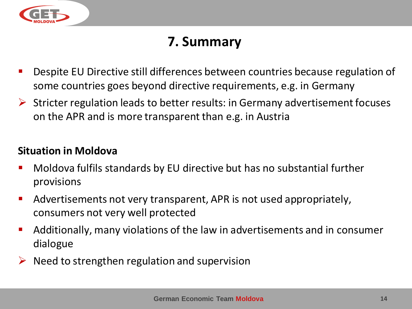

#### **7. Summary**

- Despite EU Directive still differences between countries because regulation of some countries goes beyond directive requirements, e.g. in Germany
- $\triangleright$  Stricter regulation leads to better results: in Germany advertisement focuses on the APR and is more transparent than e.g. in Austria

#### **Situation in Moldova**

- Moldova fulfils standards by EU directive but has no substantial further provisions
- Advertisements not very transparent, APR is not used appropriately, consumers not very well protected
- Additionally, many violations of the law in advertisements and in consumer dialogue
- $\triangleright$  Need to strengthen regulation and supervision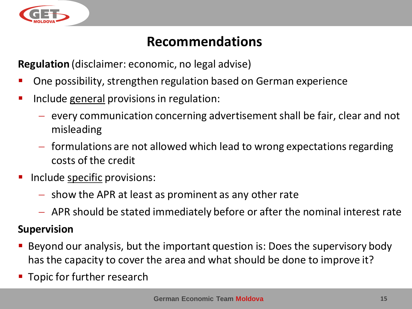

#### **Recommendations**

**Regulation** (disclaimer: economic, no legal advise)

- One possibility, strengthen regulation based on German experience
- **IDED** Include general provisions in regulation:
	- $-$  every communication concerning advertisement shall be fair, clear and not misleading
	- $f$  formulations are not allowed which lead to wrong expectations regarding costs of the credit
- Include specific provisions:
	- $-$  show the APR at least as prominent as any other rate
	- APR should be stated immediately before or after the nominal interest rate

#### **Supervision**

- Beyond our analysis, but the important question is: Does the supervisory body has the capacity to cover the area and what should be done to improve it?
- **Topic for further research**